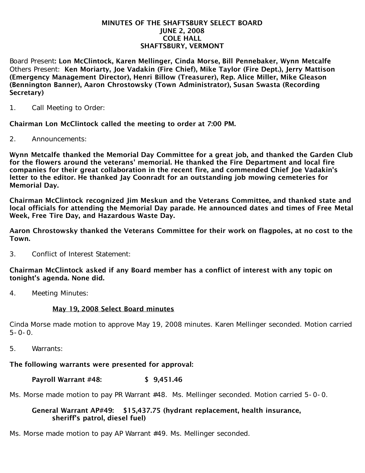#### MINUTES OF THE SHAFTSBURY SELECT BOARD JUNE 2, 2008 COLE HALL SHAFTSBURY, VERMONT

Board Present: Lon McClintock, Karen Mellinger, Cinda Morse, Bill Pennebaker, Wynn Metcalfe Others Present: Ken Moriarty, Joe Vadakin (Fire Chief), Mike Taylor (Fire Dept.), Jerry Mattison (Emergency Management Director), Henri Billow (Treasurer), Rep. Alice Miller, Mike Gleason (Bennington Banner), Aaron Chrostowsky (Town Administrator), Susan Swasta (Recording Secretary)

1. Call Meeting to Order:

Chairman Lon McClintock called the meeting to order at 7:00 PM.

2. Announcements:

Wynn Metcalfe thanked the Memorial Day Committee for a great job, and thanked the Garden Club for the flowers around the veterans' memorial. He thanked the Fire Department and local fire companies for their great collaboration in the recent fire, and commended Chief Joe Vadakin's letter to the editor. He thanked Jay Coonradt for an outstanding job mowing cemeteries for Memorial Day.

Chairman McClintock recognized Jim Meskun and the Veterans Committee, and thanked state and local officials for attending the Memorial Day parade. He announced dates and times of Free Metal Week, Free Tire Day, and Hazardous Waste Day.

Aaron Chrostowsky thanked the Veterans Committee for their work on flagpoles, at no cost to the Town.

3. Conflict of Interest Statement:

Chairman McClintock asked if any Board member has a conflict of interest with any topic on tonight's agenda. None did.

4. Meeting Minutes:

## May 19, 2008 Select Board minutes

Cinda Morse made motion to approve May 19, 2008 minutes. Karen Mellinger seconded. Motion carried  $5 - 0 - 0$ .

5. Warrants:

## The following warrants were presented for approval:

### Payroll Warrant #48: \$ 9,451.46

Ms. Morse made motion to pay PR Warrant #48. Ms. Mellinger seconded. Motion carried 5-0-0.

### General Warrant AP#49: \$15,437.75 (hydrant replacement, health insurance, sheriff's patrol, diesel fuel)

Ms. Morse made motion to pay AP Warrant #49. Ms. Mellinger seconded.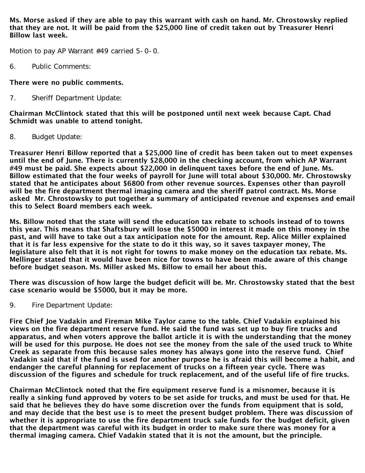Ms. Morse asked if they are able to pay this warrant with cash on hand. Mr. Chrostowsky replied that they are not. It will be paid from the \$25,000 line of credit taken out by Treasurer Henri Billow last week.

Motion to pay AP Warrant #49 carried 5-0-0.

6. Public Comments:

# There were no public comments.

7. Sheriff Department Update:

Chairman McClintock stated that this will be postponed until next week because Capt. Chad Schmidt was unable to attend tonight.

8. Budget Update:

Treasurer Henri Billow reported that a \$25,000 line of credit has been taken out to meet expenses until the end of June. There is currently \$28,000 in the checking account, from which AP Warrant #49 must be paid. She expects about \$22,000 in delinquent taxes before the end of June. Ms. Billow estimated that the four weeks of payroll for June will total about \$30,000. Mr. Chrostowsky stated that he anticipates about \$6800 from other revenue sources. Expenses other than payroll will be the fire department thermal imaging camera and the sheriff patrol contract. Ms. Morse asked Mr. Chrostowsky to put together a summary of anticipated revenue and expenses and email this to Select Board members each week.

Ms. Billow noted that the state will send the education tax rebate to schools instead of to towns this year. This means that Shaftsbury will lose the \$5000 in interest it made on this money in the past, and will have to take out a tax anticipation note for the amount. Rep. Alice Miller explained that it is far less expensive for the state to do it this way, so it saves taxpayer money, The legislature also felt that it is not right for towns to make money on the education tax rebate. Ms. Mellinger stated that it would have been nice for towns to have been made aware of this change before budget season. Ms. Miller asked Ms. Billow to email her about this.

There was discussion of how large the budget deficit will be. Mr. Chrostowsky stated that the best case scenario would be \$5000, but it may be more.

9. Fire Department Update:

Fire Chief Joe Vadakin and Fireman Mike Taylor came to the table. Chief Vadakin explained his views on the fire department reserve fund. He said the fund was set up to buy fire trucks and apparatus, and when voters approve the ballot article it is with the understanding that the money will be used for this purpose. He does not see the money from the sale of the used truck to White Creek as separate from this because sales money has always gone into the reserve fund. Chief Vadakin said that if the fund is used for another purpose he is afraid this will become a habit, and endanger the careful planning for replacement of trucks on a fifteen year cycle. There was discussion of the figures and schedule for truck replacement, and of the useful life of fire trucks.

Chairman McClintock noted that the fire equipment reserve fund is a misnomer, because it is really a sinking fund approved by voters to be set aside for trucks, and must be used for that. He said that he believes they do have some discretion over the funds from equipment that is sold, and may decide that the best use is to meet the present budget problem. There was discussion of whether it is appropriate to use the fire department truck sale funds for the budget deficit, given that the department was careful with its budget in order to make sure there was money for a thermal imaging camera. Chief Vadakin stated that it is not the amount, but the principle.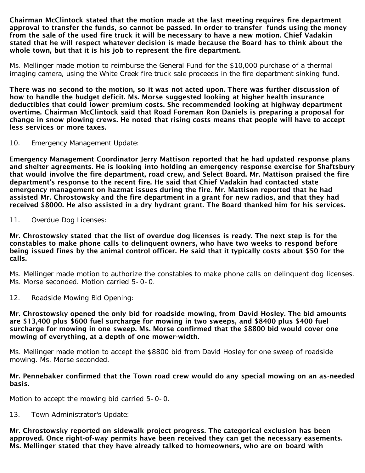Chairman McClintock stated that the motion made at the last meeting requires fire department approval to transfer the funds, so cannot be passed. In order to transfer funds using the money from the sale of the used fire truck it will be necessary to have a new motion. Chief Vadakin stated that he will respect whatever decision is made because the Board has to think about the whole town, but that it is his job to represent the fire department.

Ms. Mellinger made motion to reimburse the General Fund for the \$10,000 purchase of a thermal imaging camera, using the White Creek fire truck sale proceeds in the fire department sinking fund.

There was no second to the motion, so it was not acted upon. There was further discussion of how to handle the budget deficit. Ms. Morse suggested looking at higher health insurance deductibles that could lower premium costs. She recommended looking at highway department overtime. Chairman McClintock said that Road Foreman Ron Daniels is preparing a proposal for change in snow plowing crews. He noted that rising costs means that people will have to accept less services or more taxes.

10. Emergency Management Update:

Emergency Management Coordinator Jerry Mattison reported that he had updated response plans and shelter agreements. He is looking into holding an emergency response exercise for Shaftsbury that would involve the fire department, road crew, and Select Board. Mr. Mattison praised the fire department's response to the recent fire. He said that Chief Vadakin had contacted state emergency management on hazmat issues during the fire. Mr. Mattison reported that he had assisted Mr. Chrostowsky and the fire department in a grant for new radios, and that they had received \$8000. He also assisted in a dry hydrant grant. The Board thanked him for his services.

11. Overdue Dog Licenses:

Mr. Chrostowsky stated that the list of overdue dog licenses is ready. The next step is for the constables to make phone calls to delinquent owners, who have two weeks to respond before being issued fines by the animal control officer. He said that it typically costs about \$50 for the calls.

Ms. Mellinger made motion to authorize the constables to make phone calls on delinquent dog licenses. Ms. Morse seconded. Motion carried 5-0-0.

12. Roadside Mowing Bid Opening:

Mr. Chrostowsky opened the only bid for roadside mowing, from David Hosley. The bid amounts are \$13,400 plus \$600 fuel surcharge for mowing in two sweeps, and \$8400 plus \$400 fuel surcharge for mowing in one sweep. Ms. Morse confirmed that the \$8800 bid would cover one mowing of everything, at a depth of one mower-width.

Ms. Mellinger made motion to accept the \$8800 bid from David Hosley for one sweep of roadside mowing. Ms. Morse seconded.

### Mr. Pennebaker confirmed that the Town road crew would do any special mowing on an as-needed basis.

Motion to accept the mowing bid carried 5-0-0.

13. Town Administrator's Update:

Mr. Chrostowsky reported on sidewalk project progress. The categorical exclusion has been approved. Once right-of-way permits have been received they can get the necessary easements. Ms. Mellinger stated that they have already talked to homeowners, who are on board with